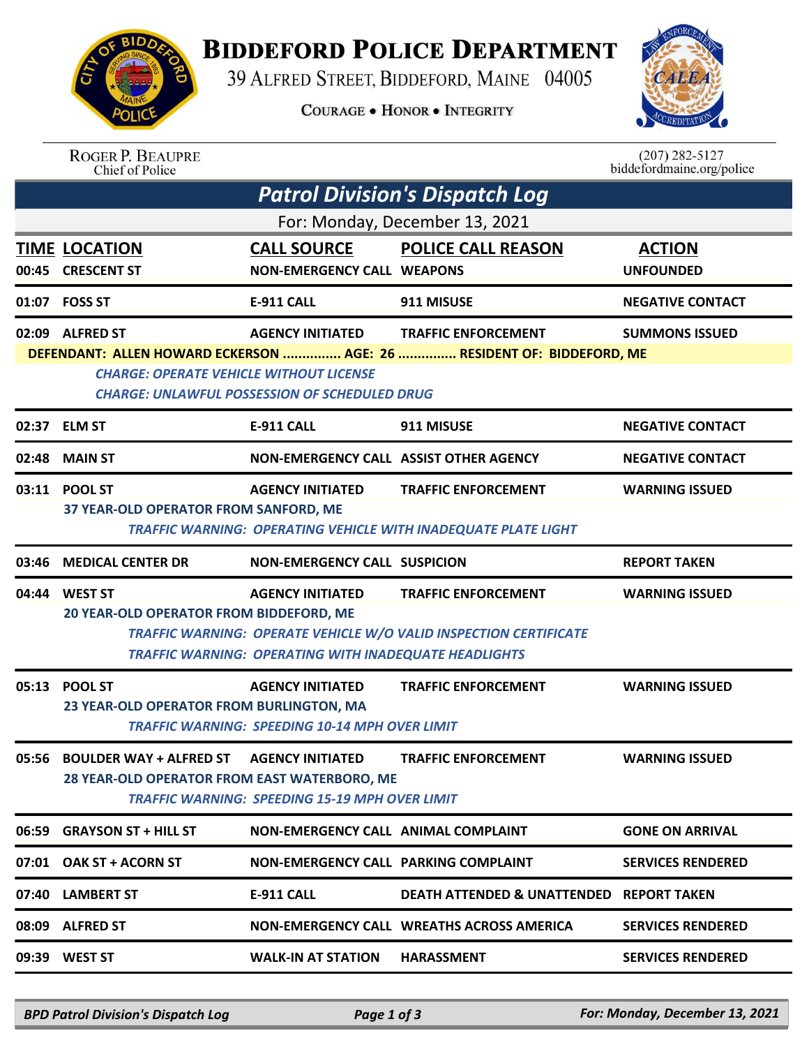

## **BIDDEFORD POLICE DEPARTMENT**

39 ALFRED STREET, BIDDEFORD, MAINE 04005

**COURAGE . HONOR . INTEGRITY** 



| <b>ROGER P. BEAUPRE</b> |
|-------------------------|
| Chief of Police         |

 $(207)$  282-5127 biddefordmaine.org/police

| <b>Patrol Division's Dispatch Log</b> |                                                                                                                                                                                     |                                                                                  |                                                                                                     |                                   |  |  |  |  |
|---------------------------------------|-------------------------------------------------------------------------------------------------------------------------------------------------------------------------------------|----------------------------------------------------------------------------------|-----------------------------------------------------------------------------------------------------|-----------------------------------|--|--|--|--|
| For: Monday, December 13, 2021        |                                                                                                                                                                                     |                                                                                  |                                                                                                     |                                   |  |  |  |  |
|                                       | <b>TIME LOCATION</b><br>00:45 CRESCENT ST                                                                                                                                           | <b>CALL SOURCE</b><br><b>NON-EMERGENCY CALL WEAPONS</b>                          | <b>POLICE CALL REASON</b>                                                                           | <b>ACTION</b><br><b>UNFOUNDED</b> |  |  |  |  |
|                                       | 01:07 FOSS ST                                                                                                                                                                       | <b>E-911 CALL</b>                                                                | 911 MISUSE                                                                                          | <b>NEGATIVE CONTACT</b>           |  |  |  |  |
|                                       | 02:09 ALFRED ST                                                                                                                                                                     | <b>AGENCY INITIATED</b>                                                          | <b>TRAFFIC ENFORCEMENT</b><br>DEFENDANT: ALLEN HOWARD ECKERSON  AGE: 26  RESIDENT OF: BIDDEFORD, ME | <b>SUMMONS ISSUED</b>             |  |  |  |  |
|                                       | <b>CHARGE: OPERATE VEHICLE WITHOUT LICENSE</b><br><b>CHARGE: UNLAWFUL POSSESSION OF SCHEDULED DRUG</b>                                                                              |                                                                                  |                                                                                                     |                                   |  |  |  |  |
|                                       | 02:37 ELM ST                                                                                                                                                                        | <b>E-911 CALL</b>                                                                | 911 MISUSE                                                                                          | <b>NEGATIVE CONTACT</b>           |  |  |  |  |
|                                       | 02:48 MAIN ST                                                                                                                                                                       | NON-EMERGENCY CALL ASSIST OTHER AGENCY                                           |                                                                                                     | <b>NEGATIVE CONTACT</b>           |  |  |  |  |
|                                       | 03:11 POOL ST                                                                                                                                                                       | <b>AGENCY INITIATED</b>                                                          | <b>TRAFFIC ENFORCEMENT</b>                                                                          | <b>WARNING ISSUED</b>             |  |  |  |  |
|                                       | 37 YEAR-OLD OPERATOR FROM SANFORD, ME<br>TRAFFIC WARNING: OPERATING VEHICLE WITH INADEQUATE PLATE LIGHT                                                                             |                                                                                  |                                                                                                     |                                   |  |  |  |  |
| 03:46                                 | <b>MEDICAL CENTER DR</b>                                                                                                                                                            | <b>NON-EMERGENCY CALL SUSPICION</b>                                              |                                                                                                     | <b>REPORT TAKEN</b>               |  |  |  |  |
|                                       | 04:44 WEST ST                                                                                                                                                                       | <b>AGENCY INITIATED</b>                                                          | <b>TRAFFIC ENFORCEMENT</b>                                                                          | <b>WARNING ISSUED</b>             |  |  |  |  |
|                                       | 20 YEAR-OLD OPERATOR FROM BIDDEFORD, ME<br><b>TRAFFIC WARNING: OPERATE VEHICLE W/O VALID INSPECTION CERTIFICATE</b><br><b>TRAFFIC WARNING: OPERATING WITH INADEQUATE HEADLIGHTS</b> |                                                                                  |                                                                                                     |                                   |  |  |  |  |
|                                       | 05:13 POOL ST<br>23 YEAR-OLD OPERATOR FROM BURLINGTON, MA                                                                                                                           | <b>AGENCY INITIATED</b><br><b>TRAFFIC WARNING: SPEEDING 10-14 MPH OVER LIMIT</b> | <b>TRAFFIC ENFORCEMENT</b>                                                                          | <b>WARNING ISSUED</b>             |  |  |  |  |
| 05:56                                 | <b>BOULDER WAY + ALFRED ST AGENCY INITIATED</b><br><b>28 YEAR-OLD OPERATOR FROM EAST WATERBORO, ME</b>                                                                              | <b>TRAFFIC WARNING: SPEEDING 15-19 MPH OVER LIMIT</b>                            | <b>TRAFFIC ENFORCEMENT</b>                                                                          | <b>WARNING ISSUED</b>             |  |  |  |  |
|                                       | 06:59 GRAYSON ST + HILL ST                                                                                                                                                          | NON-EMERGENCY CALL ANIMAL COMPLAINT                                              |                                                                                                     | <b>GONE ON ARRIVAL</b>            |  |  |  |  |
|                                       | 07:01 OAK ST + ACORN ST                                                                                                                                                             | NON-EMERGENCY CALL PARKING COMPLAINT                                             |                                                                                                     | <b>SERVICES RENDERED</b>          |  |  |  |  |
|                                       | 07:40 LAMBERT ST                                                                                                                                                                    | <b>E-911 CALL</b>                                                                | DEATH ATTENDED & UNATTENDED REPORT TAKEN                                                            |                                   |  |  |  |  |
|                                       | 08:09 ALFRED ST                                                                                                                                                                     |                                                                                  | NON-EMERGENCY CALL WREATHS ACROSS AMERICA                                                           | <b>SERVICES RENDERED</b>          |  |  |  |  |
|                                       | 09:39 WEST ST                                                                                                                                                                       | <b>WALK-IN AT STATION</b>                                                        | <b>HARASSMENT</b>                                                                                   | <b>SERVICES RENDERED</b>          |  |  |  |  |

*BPD Patrol Division's Dispatch Log Page 1 of 3 For: Monday, December 13, 2021*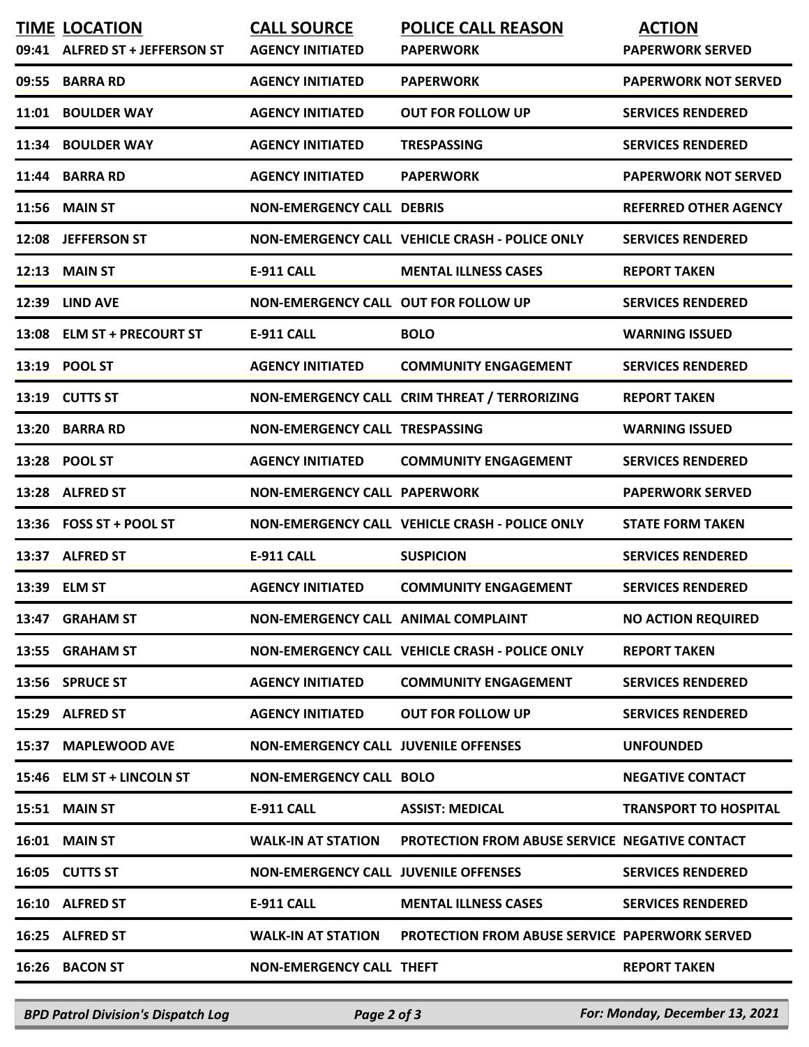| <b>TIME LOCATION</b><br>09:41 ALFRED ST + JEFFERSON ST | <b>CALL SOURCE</b><br><b>AGENCY INITIATED</b> | <b>POLICE CALL REASON</b><br><b>PAPERWORK</b>         | <b>ACTION</b><br><b>PAPERWORK SERVED</b> |
|--------------------------------------------------------|-----------------------------------------------|-------------------------------------------------------|------------------------------------------|
| 09:55 BARRA RD                                         | <b>AGENCY INITIATED</b>                       | <b>PAPERWORK</b>                                      | <b>PAPERWORK NOT SERVED</b>              |
|                                                        |                                               |                                                       |                                          |
| 11:01 BOULDER WAY                                      | <b>AGENCY INITIATED</b>                       | <b>OUT FOR FOLLOW UP</b>                              | <b>SERVICES RENDERED</b>                 |
| 11:34 BOULDER WAY                                      | <b>AGENCY INITIATED</b>                       | <b>TRESPASSING</b>                                    | <b>SERVICES RENDERED</b>                 |
| 11:44 BARRA RD                                         | <b>AGENCY INITIATED</b>                       | <b>PAPERWORK</b>                                      | <b>PAPERWORK NOT SERVED</b>              |
| 11:56 MAIN ST                                          | <b>NON-EMERGENCY CALL DEBRIS</b>              |                                                       | <b>REFERRED OTHER AGENCY</b>             |
| 12:08 JEFFERSON ST                                     |                                               | NON-EMERGENCY CALL VEHICLE CRASH - POLICE ONLY        | <b>SERVICES RENDERED</b>                 |
| 12:13 MAIN ST                                          | <b>E-911 CALL</b>                             | <b>MENTAL ILLNESS CASES</b>                           | <b>REPORT TAKEN</b>                      |
| 12:39 LIND AVE                                         | NON-EMERGENCY CALL OUT FOR FOLLOW UP          |                                                       | <b>SERVICES RENDERED</b>                 |
| 13:08 ELM ST + PRECOURT ST                             | <b>E-911 CALL</b>                             | <b>BOLO</b>                                           | <b>WARNING ISSUED</b>                    |
| 13:19 POOL ST                                          | <b>AGENCY INITIATED</b>                       | <b>COMMUNITY ENGAGEMENT</b>                           | <b>SERVICES RENDERED</b>                 |
| 13:19 CUTTS ST                                         |                                               | NON-EMERGENCY CALL CRIM THREAT / TERRORIZING          | <b>REPORT TAKEN</b>                      |
| 13:20 BARRA RD                                         | NON-EMERGENCY CALL TRESPASSING                |                                                       | <b>WARNING ISSUED</b>                    |
| 13:28 POOL ST                                          | <b>AGENCY INITIATED</b>                       | <b>COMMUNITY ENGAGEMENT</b>                           | <b>SERVICES RENDERED</b>                 |
| 13:28 ALFRED ST                                        | <b>NON-EMERGENCY CALL PAPERWORK</b>           |                                                       | <b>PAPERWORK SERVED</b>                  |
| 13:36  FOSS ST + POOL ST                               |                                               | NON-EMERGENCY CALL VEHICLE CRASH - POLICE ONLY        | <b>STATE FORM TAKEN</b>                  |
| 13:37 ALFRED ST                                        | <b>E-911 CALL</b>                             | <b>SUSPICION</b>                                      | <b>SERVICES RENDERED</b>                 |
| 13:39 ELM ST                                           | <b>AGENCY INITIATED</b>                       | <b>COMMUNITY ENGAGEMENT</b>                           | <b>SERVICES RENDERED</b>                 |
| 13:47 GRAHAM ST                                        | NON-EMERGENCY CALL ANIMAL COMPLAINT           |                                                       | <b>NO ACTION REQUIRED</b>                |
| 13:55 GRAHAM ST                                        |                                               | NON-EMERGENCY CALL VEHICLE CRASH - POLICE ONLY        | <b>REPORT TAKEN</b>                      |
| 13:56 SPRUCE ST                                        | <b>AGENCY INITIATED</b>                       | <b>COMMUNITY ENGAGEMENT</b>                           | <b>SERVICES RENDERED</b>                 |
| 15:29 ALFRED ST                                        | <b>AGENCY INITIATED</b>                       | <b>OUT FOR FOLLOW UP</b>                              | <b>SERVICES RENDERED</b>                 |
| 15:37 MAPLEWOOD AVE                                    | <b>NON-EMERGENCY CALL JUVENILE OFFENSES</b>   |                                                       | <b>UNFOUNDED</b>                         |
| 15:46 ELM ST + LINCOLN ST                              | <b>NON-EMERGENCY CALL BOLO</b>                |                                                       | <b>NEGATIVE CONTACT</b>                  |
| <b>15:51 MAIN ST</b>                                   | <b>E-911 CALL</b>                             | <b>ASSIST: MEDICAL</b>                                | <b>TRANSPORT TO HOSPITAL</b>             |
| <b>16:01 MAIN ST</b>                                   | <b>WALK-IN AT STATION</b>                     | PROTECTION FROM ABUSE SERVICE NEGATIVE CONTACT        |                                          |
| 16:05 CUTTS ST                                         | <b>NON-EMERGENCY CALL JUVENILE OFFENSES</b>   |                                                       | <b>SERVICES RENDERED</b>                 |
| 16:10 ALFRED ST                                        | <b>E-911 CALL</b>                             | <b>MENTAL ILLNESS CASES</b>                           | <b>SERVICES RENDERED</b>                 |
| 16:25 ALFRED ST                                        | <b>WALK-IN AT STATION</b>                     | <b>PROTECTION FROM ABUSE SERVICE PAPERWORK SERVED</b> |                                          |
| 16:26 BACON ST                                         | <b>NON-EMERGENCY CALL THEFT</b>               |                                                       | <b>REPORT TAKEN</b>                      |
|                                                        |                                               |                                                       |                                          |

*BPD Patrol Division's Dispatch Log Page 2 of 3 For: Monday, December 13, 2021*